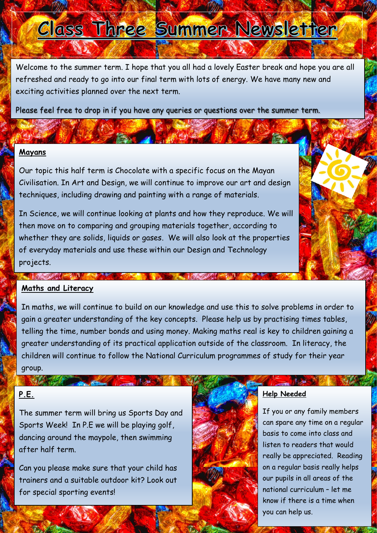# Class Three Summer Newsletter

Welcome to the summer term. I hope that you all had a lovely Easter break and hope you are all refreshed and ready to go into our final term with lots of energy. We have many new and exciting activities planned over the next term.

Please feel free to drop in if you have any queries or questions over the summer term.

## **Mayans**

Our topic this half term is Chocolate with a specific focus on the Mayan Civilisation. In Art and Design, we will continue to improve our art and design techniques, including drawing and painting with a range of materials.

In Science, we will continue looking at plants and how they reproduce. We will then move on to comparing and grouping materials together, according to whether they are solids, liquids or gases. We will also look at the properties of everyday materials and use these within our Design and Technology projects.

#### **Maths and Literacy**  $\overline{\mathcal{E}}$  some materials change state some materials change state when the some materials change state  $\overline{\mathcal{E}}$ and measure or research the temperature at which the temperature at which the temperature at which the temperature at which the temperature at which the temperature at which the temperature at which the temperature at whic

In maths, we will continue to build on our knowledge and use this to solve problems in order to gain a greater understanding of the key concepts. Please help us by practising times tables, telling the time, number bonds and using money. Making maths real is key to children gaining a greater understanding of its practical application outside of the classroom. In literacy, the children will continue to follow the National Curriculum programmes of study for their year group.

# **P.E.**

NY MARIE

The summer term will bring us Sports Day and Sports Week! In P.E we will be playing golf, dancing around the maypole, then swimming after half term.

Can you please make sure that your child has trainers and a suitable outdoor kit? Look out for special sporting events!



### **Help Needed**

If you or any family members can spare any time on a regular basis to come into class and listen to readers that would really be appreciated. Reading on a regular basis really helps our pupils in all areas of the national curriculum – let me know if there is a time when you can help us.